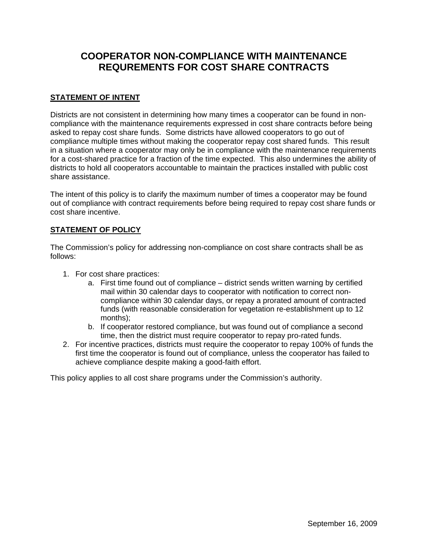## **COOPERATOR NON-COMPLIANCE WITH MAINTENANCE REQUREMENTS FOR COST SHARE CONTRACTS**

## **STATEMENT OF INTENT**

Districts are not consistent in determining how many times a cooperator can be found in noncompliance with the maintenance requirements expressed in cost share contracts before being asked to repay cost share funds. Some districts have allowed cooperators to go out of compliance multiple times without making the cooperator repay cost shared funds. This result in a situation where a cooperator may only be in compliance with the maintenance requirements for a cost-shared practice for a fraction of the time expected. This also undermines the ability of districts to hold all cooperators accountable to maintain the practices installed with public cost share assistance.

The intent of this policy is to clarify the maximum number of times a cooperator may be found out of compliance with contract requirements before being required to repay cost share funds or cost share incentive.

## **STATEMENT OF POLICY**

The Commission's policy for addressing non-compliance on cost share contracts shall be as follows:

- 1. For cost share practices:
	- a. First time found out of compliance district sends written warning by certified mail within 30 calendar days to cooperator with notification to correct noncompliance within 30 calendar days, or repay a prorated amount of contracted funds (with reasonable consideration for vegetation re-establishment up to 12 months);
	- b. If cooperator restored compliance, but was found out of compliance a second time, then the district must require cooperator to repay pro-rated funds.
- 2. For incentive practices, districts must require the cooperator to repay 100% of funds the first time the cooperator is found out of compliance, unless the cooperator has failed to achieve compliance despite making a good-faith effort.

This policy applies to all cost share programs under the Commission's authority.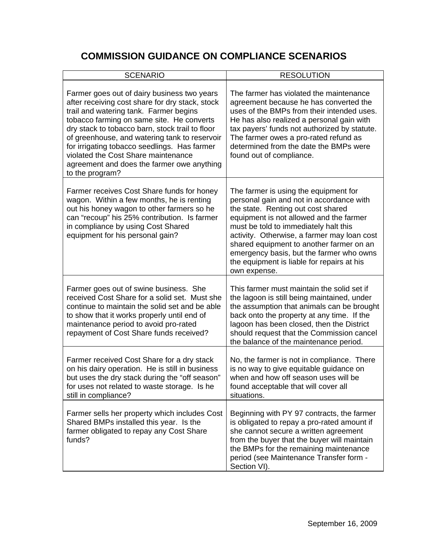## **COMMISSION GUIDANCE ON COMPLIANCE SCENARIOS**

| <b>SCENARIO</b>                                                                                                                                                                                                                                                                                                                                                                                                                                   | <b>RESOLUTION</b>                                                                                                                                                                                                                                                                                                                                                                                                |
|---------------------------------------------------------------------------------------------------------------------------------------------------------------------------------------------------------------------------------------------------------------------------------------------------------------------------------------------------------------------------------------------------------------------------------------------------|------------------------------------------------------------------------------------------------------------------------------------------------------------------------------------------------------------------------------------------------------------------------------------------------------------------------------------------------------------------------------------------------------------------|
| Farmer goes out of dairy business two years<br>after receiving cost share for dry stack, stock<br>trail and watering tank. Farmer begins<br>tobacco farming on same site. He converts<br>dry stack to tobacco barn, stock trail to floor<br>of greenhouse, and watering tank to reservoir<br>for irrigating tobacco seedlings. Has farmer<br>violated the Cost Share maintenance<br>agreement and does the farmer owe anything<br>to the program? | The farmer has violated the maintenance<br>agreement because he has converted the<br>uses of the BMPs from their intended uses.<br>He has also realized a personal gain with<br>tax payers' funds not authorized by statute.<br>The farmer owes a pro-rated refund as<br>determined from the date the BMPs were<br>found out of compliance.                                                                      |
| Farmer receives Cost Share funds for honey<br>wagon. Within a few months, he is renting<br>out his honey wagon to other farmers so he<br>can "recoup" his 25% contribution. Is farmer<br>in compliance by using Cost Shared<br>equipment for his personal gain?                                                                                                                                                                                   | The farmer is using the equipment for<br>personal gain and not in accordance with<br>the state. Renting out cost shared<br>equipment is not allowed and the farmer<br>must be told to immediately halt this<br>activity. Otherwise, a farmer may loan cost<br>shared equipment to another farmer on an<br>emergency basis, but the farmer who owns<br>the equipment is liable for repairs at his<br>own expense. |
| Farmer goes out of swine business. She<br>received Cost Share for a solid set. Must she<br>continue to maintain the solid set and be able<br>to show that it works properly until end of<br>maintenance period to avoid pro-rated<br>repayment of Cost Share funds received?                                                                                                                                                                      | This farmer must maintain the solid set if<br>the lagoon is still being maintained, under<br>the assumption that animals can be brought<br>back onto the property at any time. If the<br>lagoon has been closed, then the District<br>should request that the Commission cancel<br>the balance of the maintenance period.                                                                                        |
| Farmer received Cost Share for a dry stack<br>on his dairy operation. He is still in business<br>but uses the dry stack during the "off season"<br>for uses not related to waste storage. Is he<br>still in compliance?                                                                                                                                                                                                                           | No, the farmer is not in compliance. There<br>is no way to give equitable guidance on<br>when and how off season uses will be<br>found acceptable that will cover all<br>situations.                                                                                                                                                                                                                             |
| Farmer sells her property which includes Cost<br>Shared BMPs installed this year. Is the<br>farmer obligated to repay any Cost Share<br>funds?                                                                                                                                                                                                                                                                                                    | Beginning with PY 97 contracts, the farmer<br>is obligated to repay a pro-rated amount if<br>she cannot secure a written agreement<br>from the buyer that the buyer will maintain<br>the BMPs for the remaining maintenance<br>period (see Maintenance Transfer form -<br>Section VI).                                                                                                                           |